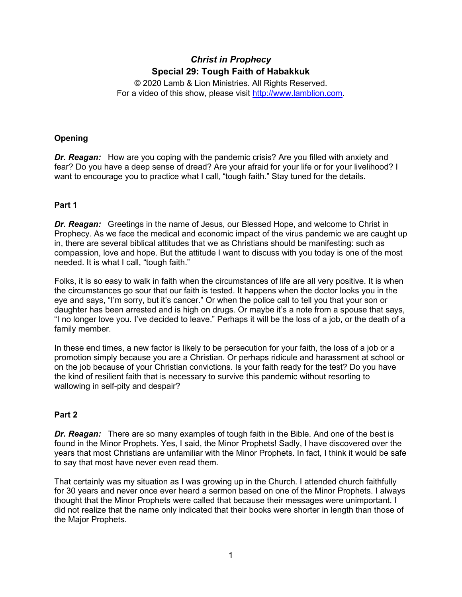# *Christ in Prophecy* **Special 29: Tough Faith of Habakkuk**

© 2020 Lamb & Lion Ministries. All Rights Reserved. For a video of this show, please visit [http://www.lamblion.com.](http://www.lamblion.com/)

## **Opening**

*Dr. Reagan:* How are you coping with the pandemic crisis? Are you filled with anxiety and fear? Do you have a deep sense of dread? Are your afraid for your life or for your livelihood? I want to encourage you to practice what I call, "tough faith." Stay tuned for the details.

## **Part 1**

*Dr. Reagan:* Greetings in the name of Jesus, our Blessed Hope, and welcome to Christ in Prophecy. As we face the medical and economic impact of the virus pandemic we are caught up in, there are several biblical attitudes that we as Christians should be manifesting: such as compassion, love and hope. But the attitude I want to discuss with you today is one of the most needed. It is what I call, "tough faith."

Folks, it is so easy to walk in faith when the circumstances of life are all very positive. It is when the circumstances go sour that our faith is tested. It happens when the doctor looks you in the eye and says, "I'm sorry, but it's cancer." Or when the police call to tell you that your son or daughter has been arrested and is high on drugs. Or maybe it's a note from a spouse that says, "I no longer love you. I've decided to leave." Perhaps it will be the loss of a job, or the death of a family member.

In these end times, a new factor is likely to be persecution for your faith, the loss of a job or a promotion simply because you are a Christian. Or perhaps ridicule and harassment at school or on the job because of your Christian convictions. Is your faith ready for the test? Do you have the kind of resilient faith that is necessary to survive this pandemic without resorting to wallowing in self-pity and despair?

### **Part 2**

*Dr. Reagan:* There are so many examples of tough faith in the Bible. And one of the best is found in the Minor Prophets. Yes, I said, the Minor Prophets! Sadly, I have discovered over the years that most Christians are unfamiliar with the Minor Prophets. In fact, I think it would be safe to say that most have never even read them.

That certainly was my situation as I was growing up in the Church. I attended church faithfully for 30 years and never once ever heard a sermon based on one of the Minor Prophets. I always thought that the Minor Prophets were called that because their messages were unimportant. I did not realize that the name only indicated that their books were shorter in length than those of the Major Prophets.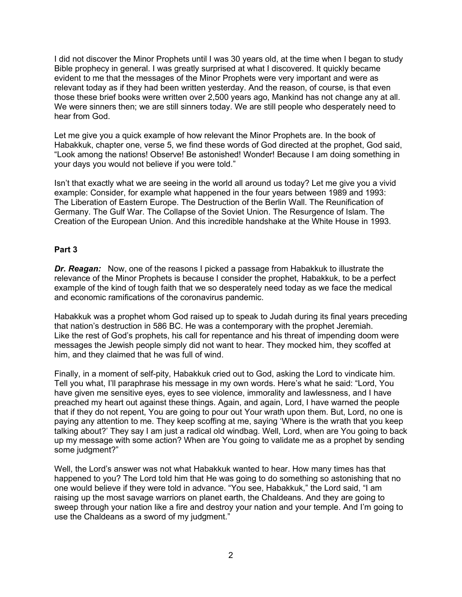I did not discover the Minor Prophets until I was 30 years old, at the time when I began to study Bible prophecy in general. I was greatly surprised at what I discovered. It quickly became evident to me that the messages of the Minor Prophets were very important and were as relevant today as if they had been written yesterday. And the reason, of course, is that even those these brief books were written over 2,500 years ago, Mankind has not change any at all. We were sinners then; we are still sinners today. We are still people who desperately need to hear from God.

Let me give you a quick example of how relevant the Minor Prophets are. In the book of Habakkuk, chapter one, verse 5, we find these words of God directed at the prophet, God said, "Look among the nations! Observe! Be astonished! Wonder! Because I am doing something in your days you would not believe if you were told."

Isn't that exactly what we are seeing in the world all around us today? Let me give you a vivid example: Consider, for example what happened in the four years between 1989 and 1993: The Liberation of Eastern Europe. The Destruction of the Berlin Wall. The Reunification of Germany. The Gulf War. The Collapse of the Soviet Union. The Resurgence of Islam. The Creation of the European Union. And this incredible handshake at the White House in 1993.

#### **Part 3**

*Dr. Reagan:* Now, one of the reasons I picked a passage from Habakkuk to illustrate the relevance of the Minor Prophets is because I consider the prophet, Habakkuk, to be a perfect example of the kind of tough faith that we so desperately need today as we face the medical and economic ramifications of the coronavirus pandemic.

Habakkuk was a prophet whom God raised up to speak to Judah during its final years preceding that nation's destruction in 586 BC. He was a contemporary with the prophet Jeremiah. Like the rest of God's prophets, his call for repentance and his threat of impending doom were messages the Jewish people simply did not want to hear. They mocked him, they scoffed at him, and they claimed that he was full of wind.

Finally, in a moment of self-pity, Habakkuk cried out to God, asking the Lord to vindicate him. Tell you what, I'll paraphrase his message in my own words. Here's what he said: "Lord, You have given me sensitive eyes, eyes to see violence, immorality and lawlessness, and I have preached my heart out against these things. Again, and again, Lord, I have warned the people that if they do not repent, You are going to pour out Your wrath upon them. But, Lord, no one is paying any attention to me. They keep scoffing at me, saying 'Where is the wrath that you keep talking about?' They say I am just a radical old windbag. Well, Lord, when are You going to back up my message with some action? When are You going to validate me as a prophet by sending some judgment?"

Well, the Lord's answer was not what Habakkuk wanted to hear. How many times has that happened to you? The Lord told him that He was going to do something so astonishing that no one would believe if they were told in advance. "You see, Habakkuk," the Lord said, "I am raising up the most savage warriors on planet earth, the Chaldeans. And they are going to sweep through your nation like a fire and destroy your nation and your temple. And I'm going to use the Chaldeans as a sword of my judgment."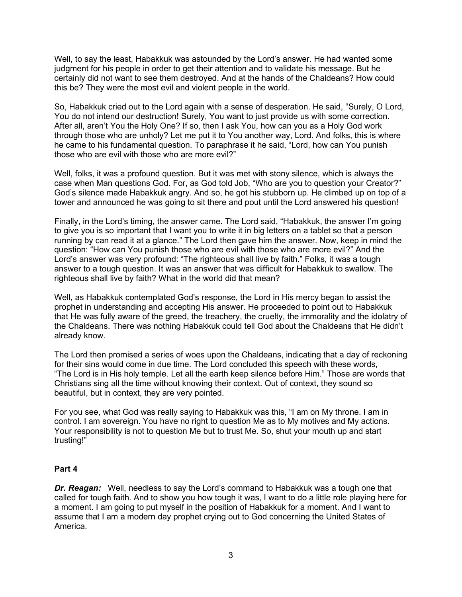Well, to say the least, Habakkuk was astounded by the Lord's answer. He had wanted some judgment for his people in order to get their attention and to validate his message. But he certainly did not want to see them destroyed. And at the hands of the Chaldeans? How could this be? They were the most evil and violent people in the world.

So, Habakkuk cried out to the Lord again with a sense of desperation. He said, "Surely, O Lord, You do not intend our destruction! Surely, You want to just provide us with some correction. After all, aren't You the Holy One? If so, then I ask You, how can you as a Holy God work through those who are unholy? Let me put it to You another way, Lord. And folks, this is where he came to his fundamental question. To paraphrase it he said, "Lord, how can You punish those who are evil with those who are more evil?"

Well, folks, it was a profound question. But it was met with stony silence, which is always the case when Man questions God. For, as God told Job, "Who are you to question your Creator?" God's silence made Habakkuk angry. And so, he got his stubborn up. He climbed up on top of a tower and announced he was going to sit there and pout until the Lord answered his question!

Finally, in the Lord's timing, the answer came. The Lord said, "Habakkuk, the answer I'm going to give you is so important that I want you to write it in big letters on a tablet so that a person running by can read it at a glance." The Lord then gave him the answer. Now, keep in mind the question: "How can You punish those who are evil with those who are more evil?" And the Lord's answer was very profound: "The righteous shall live by faith." Folks, it was a tough answer to a tough question. It was an answer that was difficult for Habakkuk to swallow. The righteous shall live by faith? What in the world did that mean?

Well, as Habakkuk contemplated God's response, the Lord in His mercy began to assist the prophet in understanding and accepting His answer. He proceeded to point out to Habakkuk that He was fully aware of the greed, the treachery, the cruelty, the immorality and the idolatry of the Chaldeans. There was nothing Habakkuk could tell God about the Chaldeans that He didn't already know.

The Lord then promised a series of woes upon the Chaldeans, indicating that a day of reckoning for their sins would come in due time. The Lord concluded this speech with these words, "The Lord is in His holy temple. Let all the earth keep silence before Him." Those are words that Christians sing all the time without knowing their context. Out of context, they sound so beautiful, but in context, they are very pointed.

For you see, what God was really saying to Habakkuk was this, "I am on My throne. I am in control. I am sovereign. You have no right to question Me as to My motives and My actions. Your responsibility is not to question Me but to trust Me. So, shut your mouth up and start trusting!"

### **Part 4**

*Dr. Reagan:* Well, needless to say the Lord's command to Habakkuk was a tough one that called for tough faith. And to show you how tough it was, I want to do a little role playing here for a moment. I am going to put myself in the position of Habakkuk for a moment. And I want to assume that I am a modern day prophet crying out to God concerning the United States of America.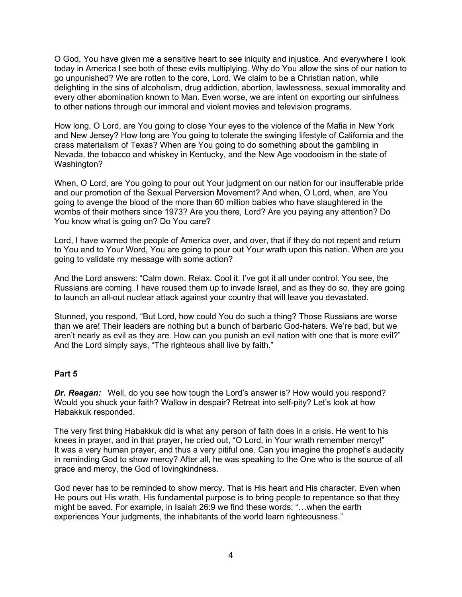O God, You have given me a sensitive heart to see iniquity and injustice. And everywhere I look today in America I see both of these evils multiplying. Why do You allow the sins of our nation to go unpunished? We are rotten to the core, Lord. We claim to be a Christian nation, while delighting in the sins of alcoholism, drug addiction, abortion, lawlessness, sexual immorality and every other abomination known to Man. Even worse, we are intent on exporting our sinfulness to other nations through our immoral and violent movies and television programs.

How long, O Lord, are You going to close Your eyes to the violence of the Mafia in New York and New Jersey? How long are You going to tolerate the swinging lifestyle of California and the crass materialism of Texas? When are You going to do something about the gambling in Nevada, the tobacco and whiskey in Kentucky, and the New Age voodooism in the state of Washington?

When, O Lord, are You going to pour out Your judgment on our nation for our insufferable pride and our promotion of the Sexual Perversion Movement? And when, O Lord, when, are You going to avenge the blood of the more than 60 million babies who have slaughtered in the wombs of their mothers since 1973? Are you there, Lord? Are you paying any attention? Do You know what is going on? Do You care?

Lord, I have warned the people of America over, and over, that if they do not repent and return to You and to Your Word, You are going to pour out Your wrath upon this nation. When are you going to validate my message with some action?

And the Lord answers: "Calm down. Relax. Cool it. I've got it all under control. You see, the Russians are coming. I have roused them up to invade Israel, and as they do so, they are going to launch an all-out nuclear attack against your country that will leave you devastated.

Stunned, you respond, "But Lord, how could You do such a thing? Those Russians are worse than we are! Their leaders are nothing but a bunch of barbaric God-haters. We're bad, but we aren't nearly as evil as they are. How can you punish an evil nation with one that is more evil?" And the Lord simply says, "The righteous shall live by faith."

### **Part 5**

*Dr. Reagan:* Well, do you see how tough the Lord's answer is? How would you respond? Would you shuck your faith? Wallow in despair? Retreat into self-pity? Let's look at how Habakkuk responded.

The very first thing Habakkuk did is what any person of faith does in a crisis. He went to his knees in prayer, and in that prayer, he cried out, "O Lord, in Your wrath remember mercy!" It was a very human prayer, and thus a very pitiful one. Can you imagine the prophet's audacity in reminding God to show mercy? After all, he was speaking to the One who is the source of all grace and mercy, the God of lovingkindness.

God never has to be reminded to show mercy. That is His heart and His character. Even when He pours out His wrath, His fundamental purpose is to bring people to repentance so that they might be saved. For example, in Isaiah 26:9 we find these words: "…when the earth experiences Your judgments, the inhabitants of the world learn righteousness."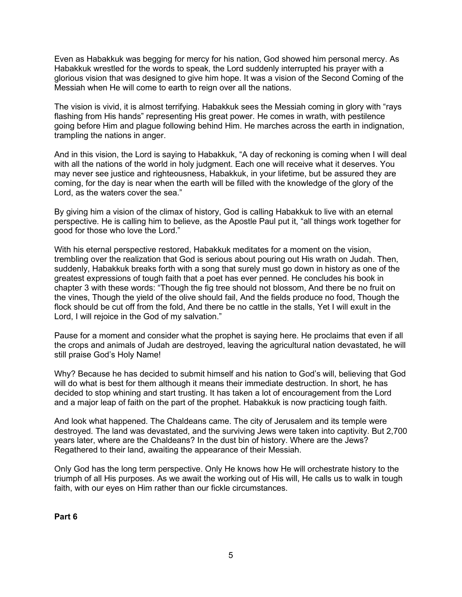Even as Habakkuk was begging for mercy for his nation, God showed him personal mercy. As Habakkuk wrestled for the words to speak, the Lord suddenly interrupted his prayer with a glorious vision that was designed to give him hope. It was a vision of the Second Coming of the Messiah when He will come to earth to reign over all the nations.

The vision is vivid, it is almost terrifying. Habakkuk sees the Messiah coming in glory with "rays flashing from His hands" representing His great power. He comes in wrath, with pestilence going before Him and plague following behind Him. He marches across the earth in indignation, trampling the nations in anger.

And in this vision, the Lord is saying to Habakkuk, "A day of reckoning is coming when I will deal with all the nations of the world in holy judgment. Each one will receive what it deserves. You may never see justice and righteousness, Habakkuk, in your lifetime, but be assured they are coming, for the day is near when the earth will be filled with the knowledge of the glory of the Lord, as the waters cover the sea."

By giving him a vision of the climax of history, God is calling Habakkuk to live with an eternal perspective. He is calling him to believe, as the Apostle Paul put it, "all things work together for good for those who love the Lord."

With his eternal perspective restored, Habakkuk meditates for a moment on the vision, trembling over the realization that God is serious about pouring out His wrath on Judah. Then, suddenly, Habakkuk breaks forth with a song that surely must go down in history as one of the greatest expressions of tough faith that a poet has ever penned. He concludes his book in chapter 3 with these words: "Though the fig tree should not blossom, And there be no fruit on the vines, Though the yield of the olive should fail, And the fields produce no food, Though the flock should be cut off from the fold, And there be no cattle in the stalls, Yet I will exult in the Lord, I will rejoice in the God of my salvation."

Pause for a moment and consider what the prophet is saying here. He proclaims that even if all the crops and animals of Judah are destroyed, leaving the agricultural nation devastated, he will still praise God's Holy Name!

Why? Because he has decided to submit himself and his nation to God's will, believing that God will do what is best for them although it means their immediate destruction. In short, he has decided to stop whining and start trusting. It has taken a lot of encouragement from the Lord and a major leap of faith on the part of the prophet. Habakkuk is now practicing tough faith.

And look what happened. The Chaldeans came. The city of Jerusalem and its temple were destroyed. The land was devastated, and the surviving Jews were taken into captivity. But 2,700 years later, where are the Chaldeans? In the dust bin of history. Where are the Jews? Regathered to their land, awaiting the appearance of their Messiah.

Only God has the long term perspective. Only He knows how He will orchestrate history to the triumph of all His purposes. As we await the working out of His will, He calls us to walk in tough faith, with our eyes on Him rather than our fickle circumstances.

**Part 6**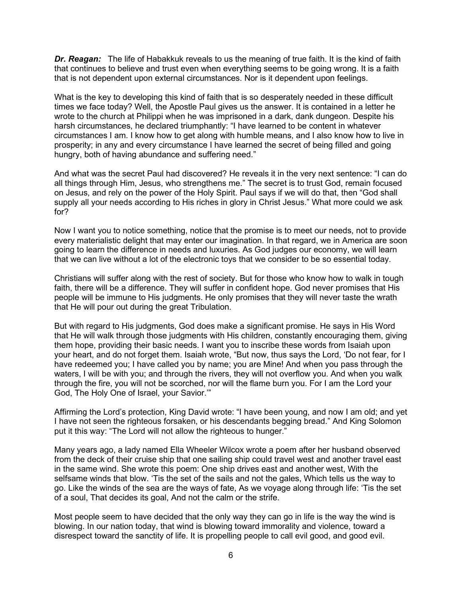*Dr. Reagan:* The life of Habakkuk reveals to us the meaning of true faith. It is the kind of faith that continues to believe and trust even when everything seems to be going wrong. It is a faith that is not dependent upon external circumstances. Nor is it dependent upon feelings.

What is the key to developing this kind of faith that is so desperately needed in these difficult times we face today? Well, the Apostle Paul gives us the answer. It is contained in a letter he wrote to the church at Philippi when he was imprisoned in a dark, dank dungeon. Despite his harsh circumstances, he declared triumphantly: "I have learned to be content in whatever circumstances I am. I know how to get along with humble means, and I also know how to live in prosperity; in any and every circumstance I have learned the secret of being filled and going hungry, both of having abundance and suffering need."

And what was the secret Paul had discovered? He reveals it in the very next sentence: "I can do all things through Him, Jesus, who strengthens me." The secret is to trust God, remain focused on Jesus, and rely on the power of the Holy Spirit. Paul says if we will do that, then "God shall supply all your needs according to His riches in glory in Christ Jesus." What more could we ask for?

Now I want you to notice something, notice that the promise is to meet our needs, not to provide every materialistic delight that may enter our imagination. In that regard, we in America are soon going to learn the difference in needs and luxuries. As God judges our economy, we will learn that we can live without a lot of the electronic toys that we consider to be so essential today.

Christians will suffer along with the rest of society. But for those who know how to walk in tough faith, there will be a difference. They will suffer in confident hope. God never promises that His people will be immune to His judgments. He only promises that they will never taste the wrath that He will pour out during the great Tribulation.

But with regard to His judgments, God does make a significant promise. He says in His Word that He will walk through those judgments with His children, constantly encouraging them, giving them hope, providing their basic needs. I want you to inscribe these words from Isaiah upon your heart, and do not forget them. Isaiah wrote, "But now, thus says the Lord, 'Do not fear, for I have redeemed you; I have called you by name; you are Mine! And when you pass through the waters, I will be with you; and through the rivers, they will not overflow you. And when you walk through the fire, you will not be scorched, nor will the flame burn you. For I am the Lord your God, The Holy One of Israel, your Savior.'"

Affirming the Lord's protection, King David wrote: "I have been young, and now I am old; and yet I have not seen the righteous forsaken, or his descendants begging bread." And King Solomon put it this way: "The Lord will not allow the righteous to hunger."

Many years ago, a lady named Ella Wheeler Wilcox wrote a poem after her husband observed from the deck of their cruise ship that one sailing ship could travel west and another travel east in the same wind. She wrote this poem: One ship drives east and another west, With the selfsame winds that blow. 'Tis the set of the sails and not the gales, Which tells us the way to go. Like the winds of the sea are the ways of fate, As we voyage along through life: 'Tis the set of a soul, That decides its goal, And not the calm or the strife.

Most people seem to have decided that the only way they can go in life is the way the wind is blowing. In our nation today, that wind is blowing toward immorality and violence, toward a disrespect toward the sanctity of life. It is propelling people to call evil good, and good evil.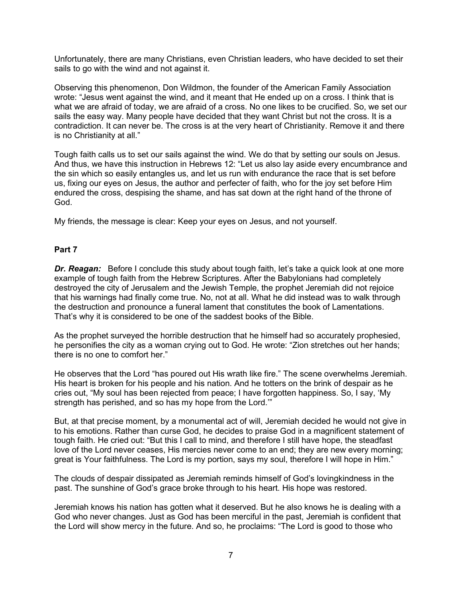Unfortunately, there are many Christians, even Christian leaders, who have decided to set their sails to go with the wind and not against it.

Observing this phenomenon, Don Wildmon, the founder of the American Family Association wrote: "Jesus went against the wind, and it meant that He ended up on a cross. I think that is what we are afraid of today, we are afraid of a cross. No one likes to be crucified. So, we set our sails the easy way. Many people have decided that they want Christ but not the cross. It is a contradiction. It can never be. The cross is at the very heart of Christianity. Remove it and there is no Christianity at all."

Tough faith calls us to set our sails against the wind. We do that by setting our souls on Jesus. And thus, we have this instruction in Hebrews 12: "Let us also lay aside every encumbrance and the sin which so easily entangles us, and let us run with endurance the race that is set before us, fixing our eyes on Jesus, the author and perfecter of faith, who for the joy set before Him endured the cross, despising the shame, and has sat down at the right hand of the throne of God.

My friends, the message is clear: Keep your eyes on Jesus, and not yourself.

### **Part 7**

**Dr. Reagan:** Before I conclude this study about tough faith, let's take a quick look at one more example of tough faith from the Hebrew Scriptures. After the Babylonians had completely destroyed the city of Jerusalem and the Jewish Temple, the prophet Jeremiah did not rejoice that his warnings had finally come true. No, not at all. What he did instead was to walk through the destruction and pronounce a funeral lament that constitutes the book of Lamentations. That's why it is considered to be one of the saddest books of the Bible.

As the prophet surveyed the horrible destruction that he himself had so accurately prophesied, he personifies the city as a woman crying out to God. He wrote: "Zion stretches out her hands; there is no one to comfort her."

He observes that the Lord "has poured out His wrath like fire." The scene overwhelms Jeremiah. His heart is broken for his people and his nation. And he totters on the brink of despair as he cries out, "My soul has been rejected from peace; I have forgotten happiness. So, I say, 'My strength has perished, and so has my hope from the Lord.'"

But, at that precise moment, by a monumental act of will, Jeremiah decided he would not give in to his emotions. Rather than curse God, he decides to praise God in a magnificent statement of tough faith. He cried out: "But this I call to mind, and therefore I still have hope, the steadfast love of the Lord never ceases, His mercies never come to an end; they are new every morning; great is Your faithfulness. The Lord is my portion, says my soul, therefore I will hope in Him."

The clouds of despair dissipated as Jeremiah reminds himself of God's lovingkindness in the past. The sunshine of God's grace broke through to his heart. His hope was restored.

Jeremiah knows his nation has gotten what it deserved. But he also knows he is dealing with a God who never changes. Just as God has been merciful in the past, Jeremiah is confident that the Lord will show mercy in the future. And so, he proclaims: "The Lord is good to those who